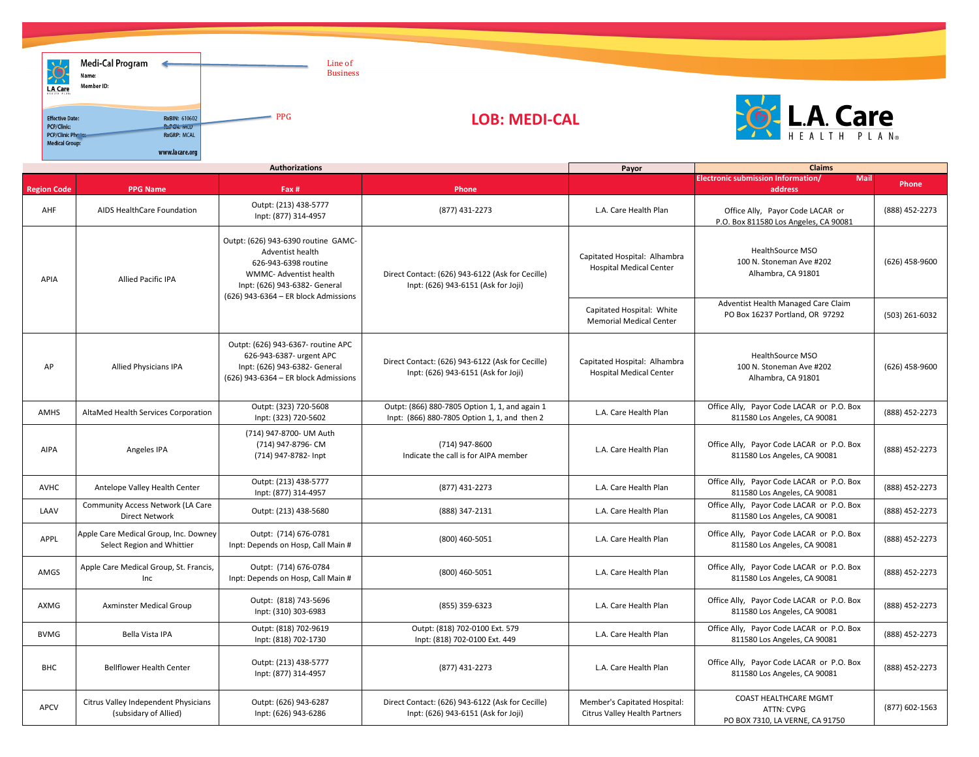|                    | <b>Authorizations</b>                                               |                                                                                                                                                                                          |                                                                                                | Payor                                                                | <b>Claims</b>                                                                        |                  |  |
|--------------------|---------------------------------------------------------------------|------------------------------------------------------------------------------------------------------------------------------------------------------------------------------------------|------------------------------------------------------------------------------------------------|----------------------------------------------------------------------|--------------------------------------------------------------------------------------|------------------|--|
| <b>Region Code</b> | <b>PPG Name</b>                                                     | Fax #                                                                                                                                                                                    | Phone                                                                                          |                                                                      | <b>Electronic submission Information/</b><br><b>Mail</b><br>address                  | Phone            |  |
| AHF                | AIDS HealthCare Foundation                                          | Outpt: (213) 438-5777<br>Inpt: (877) 314-4957                                                                                                                                            | (877) 431-2273                                                                                 | L.A. Care Health Plan                                                | Office Ally, Payor Code LACAR or<br>P.O. Box 811580 Los Angeles, CA 90081            | (888) 452-2273   |  |
| <b>APIA</b>        | <b>Allied Pacific IPA</b>                                           | Outpt: (626) 943-6390 routine GAMC-<br>Adventist health<br>626-943-6398 routine<br><b>WMMC-Adventist health</b><br>Inpt: (626) 943-6382- General<br>(626) 943-6364 - ER block Admissions | Direct Contact: (626) 943-6122 (Ask for Cecille)<br>Inpt: (626) 943-6151 (Ask for Joji)        | Capitated Hospital: Alhambra<br><b>Hospital Medical Center</b>       | <b>HealthSource MSO</b><br>100 N. Stoneman Ave #202<br>Alhambra, CA 91801            | $(626)$ 458-9600 |  |
|                    |                                                                     |                                                                                                                                                                                          |                                                                                                | Capitated Hospital: White<br><b>Memorial Medical Center</b>          | Adventist Health Managed Care Claim<br>PO Box 16237 Portland, OR 97292               | $(503)$ 261-6032 |  |
| AP                 | <b>Allied Physicians IPA</b>                                        | Outpt: (626) 943-6367- routine APC<br>626-943-6387- urgent APC<br>Inpt: (626) 943-6382- General<br>(626) 943-6364 - ER block Admissions                                                  | Direct Contact: (626) 943-6122 (Ask for Cecille)<br>Inpt: (626) 943-6151 (Ask for Joji)        | Capitated Hospital: Alhambra<br><b>Hospital Medical Center</b>       | <b>HealthSource MSO</b><br>100 N. Stoneman Ave #202<br>Alhambra, CA 91801            | $(626)$ 458-9600 |  |
| <b>AMHS</b>        | AltaMed Health Services Corporation                                 | Outpt: (323) 720-5608<br>Inpt: (323) 720-5602                                                                                                                                            | Outpt: (866) 880-7805 Option 1, 1, and again 1<br>Inpt: (866) 880-7805 Option 1, 1, and then 2 | L.A. Care Health Plan                                                | Office Ally, Payor Code LACAR or P.O. Box<br>811580 Los Angeles, CA 90081            | (888) 452-2273   |  |
| <b>AIPA</b>        | Angeles IPA                                                         | (714) 947-8700- UM Auth<br>(714) 947-8796- CM<br>(714) 947-8782- Inpt                                                                                                                    | (714) 947-8600<br>Indicate the call is for AIPA member                                         | L.A. Care Health Plan                                                | Office Ally, Payor Code LACAR or P.O. Box<br>811580 Los Angeles, CA 90081            | (888) 452-2273   |  |
| <b>AVHC</b>        | Antelope Valley Health Center                                       | Outpt: (213) 438-5777<br>Inpt: (877) 314-4957                                                                                                                                            | (877) 431-2273                                                                                 | L.A. Care Health Plan                                                | Office Ally, Payor Code LACAR or P.O. Box<br>811580 Los Angeles, CA 90081            | (888) 452-2273   |  |
| LAAV               | <b>Community Access Network (LA Care</b><br><b>Direct Network</b>   | Outpt: (213) 438-5680                                                                                                                                                                    | (888) 347-2131                                                                                 | L.A. Care Health Plan                                                | Office Ally, Payor Code LACAR or P.O. Box<br>811580 Los Angeles, CA 90081            | (888) 452-2273   |  |
| APPL               | Apple Care Medical Group, Inc. Downey<br>Select Region and Whittier | Outpt: (714) 676-0781<br>Inpt: Depends on Hosp, Call Main #                                                                                                                              | $(800)$ 460-5051                                                                               | L.A. Care Health Plan                                                | Office Ally, Payor Code LACAR or P.O. Box<br>811580 Los Angeles, CA 90081            | (888) 452-2273   |  |
| AMGS               | Apple Care Medical Group, St. Francis,<br>Inc                       | Outpt: (714) 676-0784<br>Inpt: Depends on Hosp, Call Main #                                                                                                                              | (800) 460-5051                                                                                 | L.A. Care Health Plan                                                | Office Ally, Payor Code LACAR or P.O. Box<br>811580 Los Angeles, CA 90081            | (888) 452-2273   |  |
| AXMG               | <b>Axminster Medical Group</b>                                      | Outpt: (818) 743-5696<br>Inpt: (310) 303-6983                                                                                                                                            | $(855)$ 359-6323                                                                               | L.A. Care Health Plan                                                | Office Ally, Payor Code LACAR or P.O. Box<br>811580 Los Angeles, CA 90081            | (888) 452-2273   |  |
| <b>BVMG</b>        | Bella Vista IPA                                                     | Outpt: (818) 702-9619<br>Inpt: (818) 702-1730                                                                                                                                            | Outpt: (818) 702-0100 Ext. 579<br>Inpt: (818) 702-0100 Ext. 449                                | L.A. Care Health Plan                                                | Office Ally, Payor Code LACAR or P.O. Box<br>811580 Los Angeles, CA 90081            | (888) 452-2273   |  |
| <b>BHC</b>         | <b>Bellflower Health Center</b>                                     | Outpt: (213) 438-5777<br>Inpt: (877) 314-4957                                                                                                                                            | (877) 431-2273                                                                                 | L.A. Care Health Plan                                                | Office Ally, Payor Code LACAR or P.O. Box<br>811580 Los Angeles, CA 90081            | (888) 452-2273   |  |
| <b>APCV</b>        | Citrus Valley Independent Physicians<br>(subsidary of Allied)       | Outpt: (626) 943-6287<br>Inpt: (626) 943-6286                                                                                                                                            | Direct Contact: (626) 943-6122 (Ask for Cecille)<br>Inpt: (626) 943-6151 (Ask for Joji)        | Member's Capitated Hospital:<br><b>Citrus Valley Health Partners</b> | <b>COAST HEALTHCARE MGMT</b><br><b>ATTN: CVPG</b><br>PO BOX 7310, LA VERNE, CA 91750 | $(877)$ 602-1563 |  |



| Medi-Cal Program<br>61<br>Name:<br>$\sim$<br>Member ID:<br>L.A. Care                       |                                                                                       | Line of<br><b>Business</b> |                      |
|--------------------------------------------------------------------------------------------|---------------------------------------------------------------------------------------|----------------------------|----------------------|
| <b>Effective Date:</b><br><b>PCP/Clinic:</b><br>PCP/Clinic Photos<br><b>Medical Group:</b> | <b>RxBIN: 610602</b><br><b>P.P.C.V. IVILU</b><br><b>RxGRP: MCAL</b><br>www.lacare.org | <b>PPG</b>                 | <b>LOB: MEDI-CAL</b> |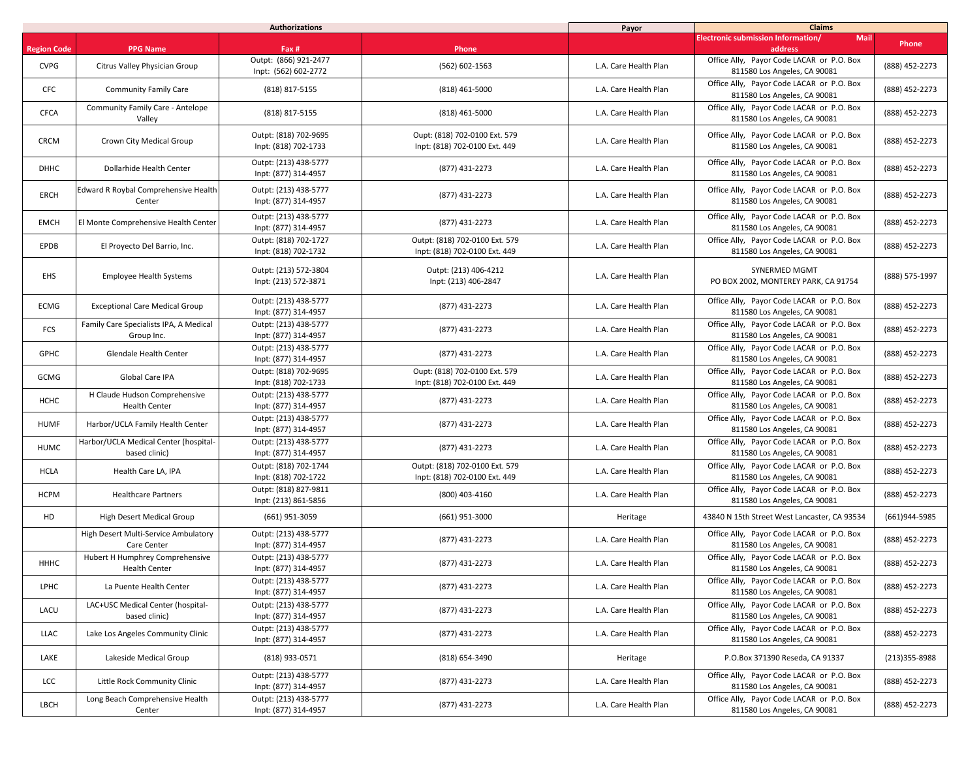|                    | <b>Authorizations</b>                                      |                                               |                                                                 | Payor                 | <b>Claims</b>                                                             |                   |  |
|--------------------|------------------------------------------------------------|-----------------------------------------------|-----------------------------------------------------------------|-----------------------|---------------------------------------------------------------------------|-------------------|--|
| <b>Region Code</b> | <b>PPG Name</b>                                            | Fax #                                         | Phone                                                           |                       | <b>Electronic submission Information/</b><br><b>Mail</b><br>address       | <b>Phone</b>      |  |
| <b>CVPG</b>        | Citrus Valley Physician Group                              | Outpt: (866) 921-2477<br>Inpt: (562) 602-2772 | $(562) 602 - 1563$                                              | L.A. Care Health Plan | Office Ally, Payor Code LACAR or P.O. Box<br>811580 Los Angeles, CA 90081 | (888) 452-2273    |  |
| <b>CFC</b>         | <b>Community Family Care</b>                               | (818) 817-5155                                | $(818)$ 461-5000                                                | L.A. Care Health Plan | Office Ally, Payor Code LACAR or P.O. Box<br>811580 Los Angeles, CA 90081 | (888) 452-2273    |  |
| <b>CFCA</b>        | <b>Community Family Care - Antelope</b><br>Valley          | (818) 817-5155                                | $(818)$ 461-5000                                                | L.A. Care Health Plan | Office Ally, Payor Code LACAR or P.O. Box<br>811580 Los Angeles, CA 90081 | (888) 452-2273    |  |
| <b>CRCM</b>        | <b>Crown City Medical Group</b>                            | Outpt: (818) 702-9695<br>Inpt: (818) 702-1733 | Oupt: (818) 702-0100 Ext. 579<br>Inpt: (818) 702-0100 Ext. 449  | L.A. Care Health Plan | Office Ally, Payor Code LACAR or P.O. Box<br>811580 Los Angeles, CA 90081 | (888) 452-2273    |  |
| <b>DHHC</b>        | Dollarhide Health Center                                   | Outpt: (213) 438-5777<br>Inpt: (877) 314-4957 | (877) 431-2273                                                  | L.A. Care Health Plan | Office Ally, Payor Code LACAR or P.O. Box<br>811580 Los Angeles, CA 90081 | (888) 452-2273    |  |
| <b>ERCH</b>        | Edward R Roybal Comprehensive Health<br>Center             | Outpt: (213) 438-5777<br>Inpt: (877) 314-4957 | (877) 431-2273                                                  | L.A. Care Health Plan | Office Ally, Payor Code LACAR or P.O. Box<br>811580 Los Angeles, CA 90081 | (888) 452-2273    |  |
| <b>EMCH</b>        | El Monte Comprehensive Health Center                       | Outpt: (213) 438-5777<br>Inpt: (877) 314-4957 | (877) 431-2273                                                  | L.A. Care Health Plan | Office Ally, Payor Code LACAR or P.O. Box<br>811580 Los Angeles, CA 90081 | (888) 452-2273    |  |
| <b>EPDB</b>        | El Proyecto Del Barrio, Inc.                               | Outpt: (818) 702-1727<br>Inpt: (818) 702-1732 | Outpt: (818) 702-0100 Ext. 579<br>Inpt: (818) 702-0100 Ext. 449 | L.A. Care Health Plan | Office Ally, Payor Code LACAR or P.O. Box<br>811580 Los Angeles, CA 90081 | (888) 452-2273    |  |
| <b>EHS</b>         | <b>Employee Health Systems</b>                             | Outpt: (213) 572-3804<br>Inpt: (213) 572-3871 | Outpt: (213) 406-4212<br>Inpt: (213) 406-2847                   | L.A. Care Health Plan | <b>SYNERMED MGMT</b><br>PO BOX 2002, MONTEREY PARK, CA 91754              | (888) 575-1997    |  |
| ECMG               | <b>Exceptional Care Medical Group</b>                      | Outpt: (213) 438-5777<br>Inpt: (877) 314-4957 | (877) 431-2273                                                  | L.A. Care Health Plan | Office Ally, Payor Code LACAR or P.O. Box<br>811580 Los Angeles, CA 90081 | (888) 452-2273    |  |
| <b>FCS</b>         | Family Care Specialists IPA, A Medical<br>Group Inc.       | Outpt: (213) 438-5777<br>Inpt: (877) 314-4957 | (877) 431-2273                                                  | L.A. Care Health Plan | Office Ally, Payor Code LACAR or P.O. Box<br>811580 Los Angeles, CA 90081 | (888) 452-2273    |  |
| <b>GPHC</b>        | Glendale Health Center                                     | Outpt: (213) 438-5777<br>Inpt: (877) 314-4957 | (877) 431-2273                                                  | L.A. Care Health Plan | Office Ally, Payor Code LACAR or P.O. Box<br>811580 Los Angeles, CA 90081 | (888) 452-2273    |  |
| GCMG               | Global Care IPA                                            | Outpt: (818) 702-9695<br>Inpt: (818) 702-1733 | Oupt: (818) 702-0100 Ext. 579<br>Inpt: (818) 702-0100 Ext. 449  | L.A. Care Health Plan | Office Ally, Payor Code LACAR or P.O. Box<br>811580 Los Angeles, CA 90081 | (888) 452-2273    |  |
| <b>HCHC</b>        | H Claude Hudson Comprehensive<br><b>Health Center</b>      | Outpt: (213) 438-5777<br>Inpt: (877) 314-4957 | (877) 431-2273                                                  | L.A. Care Health Plan | Office Ally, Payor Code LACAR or P.O. Box<br>811580 Los Angeles, CA 90081 | (888) 452-2273    |  |
| <b>HUMF</b>        | Harbor/UCLA Family Health Center                           | Outpt: (213) 438-5777<br>Inpt: (877) 314-4957 | (877) 431-2273                                                  | L.A. Care Health Plan | Office Ally, Payor Code LACAR or P.O. Box<br>811580 Los Angeles, CA 90081 | (888) 452-2273    |  |
| <b>HUMC</b>        | Harbor/UCLA Medical Center (hospital-<br>based clinic)     | Outpt: (213) 438-5777<br>Inpt: (877) 314-4957 | (877) 431-2273                                                  | L.A. Care Health Plan | Office Ally, Payor Code LACAR or P.O. Box<br>811580 Los Angeles, CA 90081 | (888) 452-2273    |  |
| <b>HCLA</b>        | Health Care LA, IPA                                        | Outpt: (818) 702-1744<br>Inpt: (818) 702-1722 | Outpt: (818) 702-0100 Ext. 579<br>Inpt: (818) 702-0100 Ext. 449 | L.A. Care Health Plan | Office Ally, Payor Code LACAR or P.O. Box<br>811580 Los Angeles, CA 90081 | (888) 452-2273    |  |
| <b>HCPM</b>        | <b>Healthcare Partners</b>                                 | Outpt: (818) 827-9811<br>Inpt: (213) 861-5856 | (800) 403-4160                                                  | L.A. Care Health Plan | Office Ally, Payor Code LACAR or P.O. Box<br>811580 Los Angeles, CA 90081 | (888) 452-2273    |  |
| HD                 | <b>High Desert Medical Group</b>                           | (661) 951-3059                                | (661) 951-3000                                                  | Heritage              | 43840 N 15th Street West Lancaster, CA 93534                              | $(661)944 - 5985$ |  |
|                    | High Desert Multi-Service Ambulatory<br><b>Care Center</b> | Outpt: (213) 438-5777<br>Inpt: (877) 314-4957 | (877) 431-2273                                                  | L.A. Care Health Plan | Office Ally, Payor Code LACAR or P.O. Box<br>811580 Los Angeles, CA 90081 | (888) 452-2273    |  |
| <b>HHHC</b>        | Hubert H Humphrey Comprehensive<br><b>Health Center</b>    | Outpt: (213) 438-5777<br>Inpt: (877) 314-4957 | (877) 431-2273                                                  | L.A. Care Health Plan | Office Ally, Payor Code LACAR or P.O. Box<br>811580 Los Angeles, CA 90081 | (888) 452-2273    |  |
| <b>LPHC</b>        | La Puente Health Center                                    | Outpt: (213) 438-5777<br>Inpt: (877) 314-4957 | (877) 431-2273                                                  | L.A. Care Health Plan | Office Ally, Payor Code LACAR or P.O. Box<br>811580 Los Angeles, CA 90081 | (888) 452-2273    |  |
| LACU               | LAC+USC Medical Center (hospital-<br>based clinic)         | Outpt: (213) 438-5777<br>Inpt: (877) 314-4957 | (877) 431-2273                                                  | L.A. Care Health Plan | Office Ally, Payor Code LACAR or P.O. Box<br>811580 Los Angeles, CA 90081 | (888) 452-2273    |  |
| <b>LLAC</b>        | Lake Los Angeles Community Clinic                          | Outpt: (213) 438-5777<br>Inpt: (877) 314-4957 | (877) 431-2273                                                  | L.A. Care Health Plan | Office Ally, Payor Code LACAR or P.O. Box<br>811580 Los Angeles, CA 90081 | (888) 452-2273    |  |
| LAKE               | Lakeside Medical Group                                     | (818) 933-0571                                | (818) 654-3490                                                  | Heritage              | P.O.Box 371390 Reseda, CA 91337                                           | $(213)355 - 8988$ |  |
| LCC                | Little Rock Community Clinic                               | Outpt: (213) 438-5777<br>Inpt: (877) 314-4957 | (877) 431-2273                                                  | L.A. Care Health Plan | Office Ally, Payor Code LACAR or P.O. Box<br>811580 Los Angeles, CA 90081 | (888) 452-2273    |  |
| LBCH               | Long Beach Comprehensive Health<br>Center                  | Outpt: (213) 438-5777<br>Inpt: (877) 314-4957 | (877) 431-2273                                                  | L.A. Care Health Plan | Office Ally, Payor Code LACAR or P.O. Box<br>811580 Los Angeles, CA 90081 | (888) 452-2273    |  |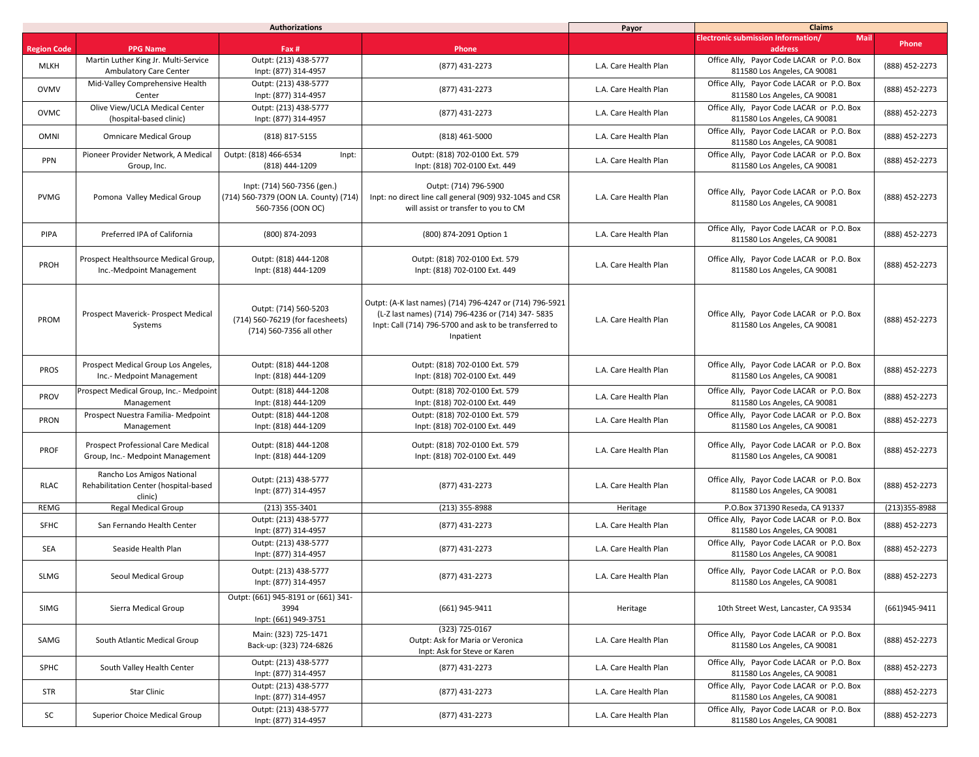|                    | <b>Authorizations</b>                                                          |                                                                                           |                                                                                                                                                                                      | Payor                 | <b>Claims</b>                                                             |                   |
|--------------------|--------------------------------------------------------------------------------|-------------------------------------------------------------------------------------------|--------------------------------------------------------------------------------------------------------------------------------------------------------------------------------------|-----------------------|---------------------------------------------------------------------------|-------------------|
|                    |                                                                                |                                                                                           |                                                                                                                                                                                      |                       | <b>Electronic submission Information/</b><br><b>Mail</b>                  | <b>Phone</b>      |
| <b>Region Code</b> | <b>PPG Name</b>                                                                | Fax #                                                                                     | Phone                                                                                                                                                                                |                       | address                                                                   |                   |
| <b>MLKH</b>        | Martin Luther King Jr. Multi-Service<br><b>Ambulatory Care Center</b>          | Outpt: (213) 438-5777<br>Inpt: (877) 314-4957                                             | (877) 431-2273                                                                                                                                                                       | L.A. Care Health Plan | Office Ally, Payor Code LACAR or P.O. Box<br>811580 Los Angeles, CA 90081 | (888) 452-2273    |
| <b>OVMV</b>        | Mid-Valley Comprehensive Health<br>Center                                      | Outpt: (213) 438-5777<br>Inpt: (877) 314-4957                                             | (877) 431-2273                                                                                                                                                                       | L.A. Care Health Plan | Office Ally, Payor Code LACAR or P.O. Box<br>811580 Los Angeles, CA 90081 | (888) 452-2273    |
| OVMC               | Olive View/UCLA Medical Center<br>(hospital-based clinic)                      | Outpt: (213) 438-5777<br>Inpt: (877) 314-4957                                             | (877) 431-2273                                                                                                                                                                       | L.A. Care Health Plan | Office Ally, Payor Code LACAR or P.O. Box<br>811580 Los Angeles, CA 90081 | (888) 452-2273    |
| <b>OMNI</b>        | <b>Omnicare Medical Group</b>                                                  | (818) 817-5155                                                                            | $(818)$ 461-5000                                                                                                                                                                     | L.A. Care Health Plan | Office Ally, Payor Code LACAR or P.O. Box<br>811580 Los Angeles, CA 90081 | (888) 452-2273    |
| <b>PPN</b>         | Pioneer Provider Network, A Medical<br>Group, Inc.                             | Outpt: (818) 466-6534<br>Inpt:<br>(818) 444-1209                                          | Outpt: (818) 702-0100 Ext. 579<br>Inpt: (818) 702-0100 Ext. 449                                                                                                                      | L.A. Care Health Plan | Office Ally, Payor Code LACAR or P.O. Box<br>811580 Los Angeles, CA 90081 | (888) 452-2273    |
| <b>PVMG</b>        | Pomona Valley Medical Group                                                    | Inpt: (714) 560-7356 (gen.)<br>(714) 560-7379 (OON LA. County) (714)<br>560-7356 (OON OC) | Outpt: (714) 796-5900<br>Inpt: no direct line call general (909) 932-1045 and CSR<br>will assist or transfer to you to CM                                                            | L.A. Care Health Plan | Office Ally, Payor Code LACAR or P.O. Box<br>811580 Los Angeles, CA 90081 | (888) 452-2273    |
| <b>PIPA</b>        | Preferred IPA of California                                                    | (800) 874-2093                                                                            | (800) 874-2091 Option 1                                                                                                                                                              | L.A. Care Health Plan | Office Ally, Payor Code LACAR or P.O. Box<br>811580 Los Angeles, CA 90081 | (888) 452-2273    |
| PROH               | Prospect Healthsource Medical Group,<br>Inc.-Medpoint Management               | Outpt: (818) 444-1208<br>Inpt: (818) 444-1209                                             | Outpt: (818) 702-0100 Ext. 579<br>Inpt: (818) 702-0100 Ext. 449                                                                                                                      | L.A. Care Health Plan | Office Ally, Payor Code LACAR or P.O. Box<br>811580 Los Angeles, CA 90081 | (888) 452-2273    |
| PROM               | Prospect Maverick- Prospect Medical<br>Systems                                 | Outpt: (714) 560-5203<br>(714) 560-76219 (for facesheets)<br>(714) 560-7356 all other     | Outpt: (A-K last names) (714) 796-4247 or (714) 796-5921<br>(L-Z last names) (714) 796-4236 or (714) 347-5835<br>Inpt: Call (714) 796-5700 and ask to be transferred to<br>Inpatient | L.A. Care Health Plan | Office Ally, Payor Code LACAR or P.O. Box<br>811580 Los Angeles, CA 90081 | (888) 452-2273    |
| <b>PROS</b>        | Prospect Medical Group Los Angeles,<br>Inc.- Medpoint Management               | Outpt: (818) 444-1208<br>Inpt: (818) 444-1209                                             | Outpt: (818) 702-0100 Ext. 579<br>Inpt: (818) 702-0100 Ext. 449                                                                                                                      | L.A. Care Health Plan | Office Ally, Payor Code LACAR or P.O. Box<br>811580 Los Angeles, CA 90081 | (888) 452-2273    |
| <b>PROV</b>        | Prospect Medical Group, Inc.- Medpoint<br>Management                           | Outpt: (818) 444-1208<br>Inpt: (818) 444-1209                                             | Outpt: (818) 702-0100 Ext. 579<br>Inpt: (818) 702-0100 Ext. 449                                                                                                                      | L.A. Care Health Plan | Office Ally, Payor Code LACAR or P.O. Box<br>811580 Los Angeles, CA 90081 | (888) 452-2273    |
| <b>PRON</b>        | Prospect Nuestra Familia- Medpoint<br>Management                               | Outpt: (818) 444-1208<br>Inpt: (818) 444-1209                                             | Outpt: (818) 702-0100 Ext. 579<br>Inpt: (818) 702-0100 Ext. 449                                                                                                                      | L.A. Care Health Plan | Office Ally, Payor Code LACAR or P.O. Box<br>811580 Los Angeles, CA 90081 | (888) 452-2273    |
| <b>PROF</b>        | <b>Prospect Professional Care Medical</b><br>Group, Inc.- Medpoint Management  | Outpt: (818) 444-1208<br>Inpt: (818) 444-1209                                             | Outpt: (818) 702-0100 Ext. 579<br>Inpt: (818) 702-0100 Ext. 449                                                                                                                      | L.A. Care Health Plan | Office Ally, Payor Code LACAR or P.O. Box<br>811580 Los Angeles, CA 90081 | (888) 452-2273    |
| <b>RLAC</b>        | Rancho Los Amigos National<br>Rehabilitation Center (hospital-based<br>clinic) | Outpt: (213) 438-5777<br>Inpt: (877) 314-4957                                             | (877) 431-2273                                                                                                                                                                       | L.A. Care Health Plan | Office Ally, Payor Code LACAR or P.O. Box<br>811580 Los Angeles, CA 90081 | (888) 452-2273    |
| <b>REMG</b>        | <b>Regal Medical Group</b>                                                     | $(213)$ 355-3401                                                                          | $(213)$ 355-8988                                                                                                                                                                     | Heritage              | P.O.Box 371390 Reseda, CA 91337                                           | $(213)355 - 8988$ |
| <b>SFHC</b>        | San Fernando Health Center                                                     | Outpt: (213) 438-5777<br>Inpt: (877) 314-4957                                             | (877) 431-2273                                                                                                                                                                       | L.A. Care Health Plan | Office Ally, Payor Code LACAR or P.O. Box<br>811580 Los Angeles, CA 90081 | (888) 452-2273    |
| <b>SEA</b>         | Seaside Health Plan                                                            | Outpt: (213) 438-5777<br>Inpt: (877) 314-4957                                             | (877) 431-2273                                                                                                                                                                       | L.A. Care Health Plan | Office Ally, Payor Code LACAR or P.O. Box<br>811580 Los Angeles, CA 90081 | (888) 452-2273    |
| <b>SLMG</b>        | Seoul Medical Group                                                            | Outpt: (213) 438-5777<br>Inpt: (877) 314-4957                                             | (877) 431-2273                                                                                                                                                                       | L.A. Care Health Plan | Office Ally, Payor Code LACAR or P.O. Box<br>811580 Los Angeles, CA 90081 | (888) 452-2273    |
| SIMG               | Sierra Medical Group                                                           | Outpt: (661) 945-8191 or (661) 341-<br>3994<br>Inpt: (661) 949-3751                       | (661) 945-9411                                                                                                                                                                       | Heritage              | 10th Street West, Lancaster, CA 93534                                     | $(661)945 - 9411$ |
| SAMG               | South Atlantic Medical Group                                                   | Main: (323) 725-1471<br>Back-up: (323) 724-6826                                           | (323) 725-0167<br>Outpt: Ask for Maria or Veronica<br>Inpt: Ask for Steve or Karen                                                                                                   | L.A. Care Health Plan | Office Ally, Payor Code LACAR or P.O. Box<br>811580 Los Angeles, CA 90081 | (888) 452-2273    |
| <b>SPHC</b>        | South Valley Health Center                                                     | Outpt: (213) 438-5777<br>Inpt: (877) 314-4957                                             | (877) 431-2273                                                                                                                                                                       | L.A. Care Health Plan | Office Ally, Payor Code LACAR or P.O. Box<br>811580 Los Angeles, CA 90081 | (888) 452-2273    |
| <b>STR</b>         | <b>Star Clinic</b>                                                             | Outpt: (213) 438-5777<br>Inpt: (877) 314-4957                                             | (877) 431-2273                                                                                                                                                                       | L.A. Care Health Plan | Office Ally, Payor Code LACAR or P.O. Box<br>811580 Los Angeles, CA 90081 | (888) 452-2273    |
| SC                 | <b>Superior Choice Medical Group</b>                                           | Outpt: (213) 438-5777<br>Inpt: (877) 314-4957                                             | (877) 431-2273                                                                                                                                                                       | L.A. Care Health Plan | Office Ally, Payor Code LACAR or P.O. Box<br>811580 Los Angeles, CA 90081 | (888) 452-2273    |